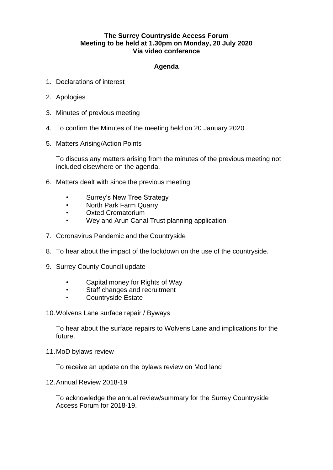## **The Surrey Countryside Access Forum Meeting to be held at 1.30pm on Monday, 20 July 2020 Via video conference**

## **Agenda**

- 1. Declarations of interest
- 2. Apologies
- 3. Minutes of previous meeting
- 4. To confirm the Minutes of the meeting held on 20 January 2020
- 5. Matters Arising/Action Points

To discuss any matters arising from the minutes of the previous meeting not included elsewhere on the agenda.

- 6. Matters dealt with since the previous meeting
	- Surrey's New Tree Strategy
	- North Park Farm Quarry
	- Oxted Crematorium
	- Wey and Arun Canal Trust planning application
- 7. Coronavirus Pandemic and the Countryside
- 8. To hear about the impact of the lockdown on the use of the countryside.
- 9. Surrey County Council update
	- Capital money for Rights of Way
	- Staff changes and recruitment
	- Countryside Estate
- 10.Wolvens Lane surface repair / Byways

To hear about the surface repairs to Wolvens Lane and implications for the future.

11.MoD bylaws review

To receive an update on the bylaws review on Mod land

12.Annual Review 2018-19

To acknowledge the annual review/summary for the Surrey Countryside Access Forum for 2018-19.